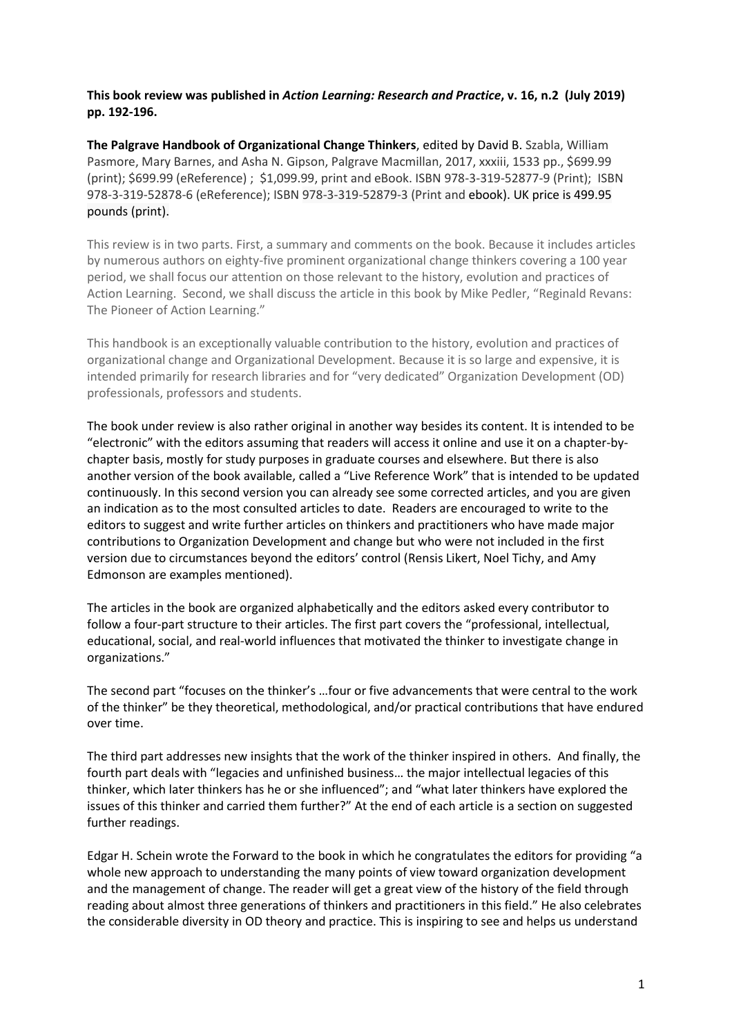**This book review was published in** *Action Learning: Research and Practice***, v. 16, n.2 (July 2019) pp. 192-196.**

**The Palgrave Handbook of Organizational Change Thinkers**, edited by David B. Szabla, William Pasmore, Mary Barnes, and Asha N. Gipson, Palgrave Macmillan, 2017, xxxiii, 1533 pp., \$699.99 (print); \$699.99 (eReference) ; \$1,099.99, print and eBook. ISBN 978-3-319-52877-9 (Print); ISBN 978-3-319-52878-6 (eReference); ISBN 978-3-319-52879-3 (Print and ebook). UK price is 499.95 pounds (print).

This review is in two parts. First, a summary and comments on the book. Because it includes articles by numerous authors on eighty-five prominent organizational change thinkers covering a 100 year period, we shall focus our attention on those relevant to the history, evolution and practices of Action Learning. Second, we shall discuss the article in this book by Mike Pedler, "Reginald Revans: The Pioneer of Action Learning."

This handbook is an exceptionally valuable contribution to the history, evolution and practices of organizational change and Organizational Development. Because it is so large and expensive, it is intended primarily for research libraries and for "very dedicated" Organization Development (OD) professionals, professors and students.

The book under review is also rather original in another way besides its content. It is intended to be "electronic" with the editors assuming that readers will access it online and use it on a chapter-bychapter basis, mostly for study purposes in graduate courses and elsewhere. But there is also another version of the book available, called a "Live Reference Work" that is intended to be updated continuously. In this second version you can already see some corrected articles, and you are given an indication as to the most consulted articles to date. Readers are encouraged to write to the editors to suggest and write further articles on thinkers and practitioners who have made major contributions to Organization Development and change but who were not included in the first version due to circumstances beyond the editors' control (Rensis Likert, Noel Tichy, and Amy Edmonson are examples mentioned).

The articles in the book are organized alphabetically and the editors asked every contributor to follow a four-part structure to their articles. The first part covers the "professional, intellectual, educational, social, and real-world influences that motivated the thinker to investigate change in organizations."

The second part "focuses on the thinker's …four or five advancements that were central to the work of the thinker" be they theoretical, methodological, and/or practical contributions that have endured over time.

The third part addresses new insights that the work of the thinker inspired in others. And finally, the fourth part deals with "legacies and unfinished business… the major intellectual legacies of this thinker, which later thinkers has he or she influenced"; and "what later thinkers have explored the issues of this thinker and carried them further?" At the end of each article is a section on suggested further readings.

Edgar H. Schein wrote the Forward to the book in which he congratulates the editors for providing "a whole new approach to understanding the many points of view toward organization development and the management of change. The reader will get a great view of the history of the field through reading about almost three generations of thinkers and practitioners in this field." He also celebrates the considerable diversity in OD theory and practice. This is inspiring to see and helps us understand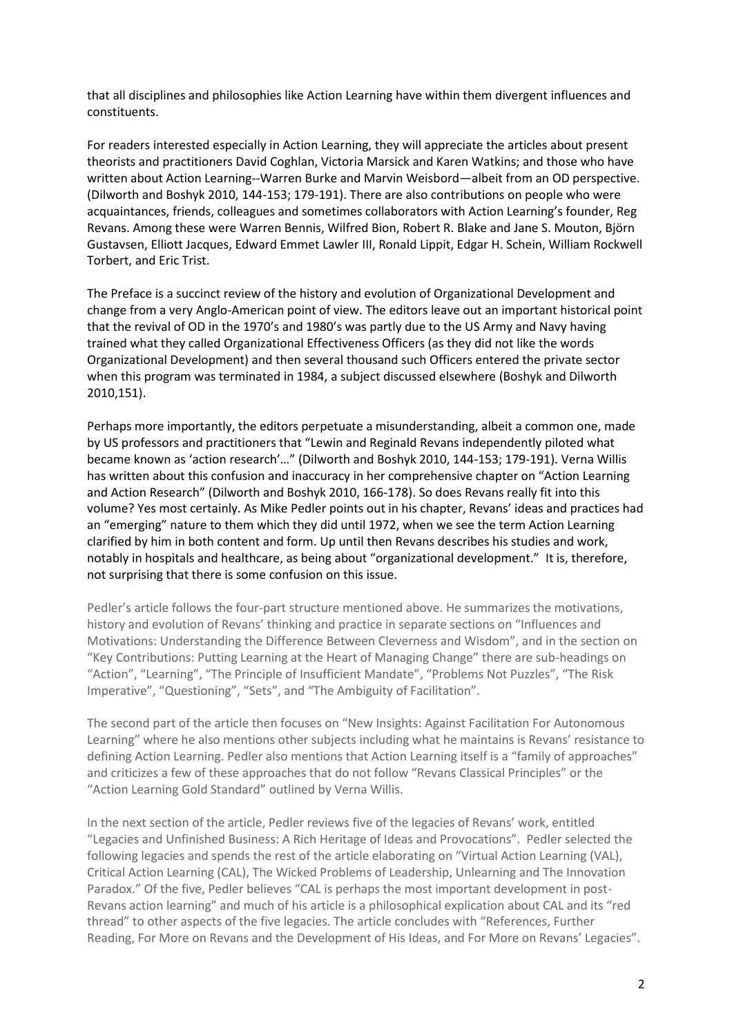that all disciplines and philosophies like Action Learning have within them divergent influences and constituents.

For readers interested especially in Action Learning, they will appreciate the articles about present theorists and practitioners David Coghlan, Victoria Marsick and Karen Watkins; and those who have written about Action Learning--Warren Burke and Marvin Weisbord—albeit from an OD perspective. (Dilworth and Boshyk 2010, 144-153; 179-191). There are also contributions on people who were acquaintances, friends, colleagues and sometimes collaborators with Action Learning's founder, Reg Revans. Among these were Warren Bennis, Wilfred Bion, Robert R. Blake and Jane S. Mouton, Björn Gustavsen, Elliott Jacques, Edward Emmet Lawler III, Ronald Lippit, Edgar H. Schein, William Rockwell Torbert, and Eric Trist.

The Preface is a succinct review of the history and evolution of Organizational Development and change from a very Anglo-American point of view. The editors leave out an important historical point that the revival of OD in the 1970's and 1980's was partly due to the US Army and Navy having trained what they called Organizational Effectiveness Officers (as they did not like the words Organizational Development) and then several thousand such Officers entered the private sector when this program was terminated in 1984, a subject discussed elsewhere (Boshyk and Dilworth 2010,151).

Perhaps more importantly, the editors perpetuate a misunderstanding, albeit a common one, made by US professors and practitioners that "Lewin and Reginald Revans independently piloted what became known as 'action research'…" (Dilworth and Boshyk 2010, 144-153; 179-191). Verna Willis has written about this confusion and inaccuracy in her comprehensive chapter on "Action Learning and Action Research" (Dilworth and Boshyk 2010, 166-178). So does Revans really fit into this volume? Yes most certainly. As Mike Pedler points out in his chapter, Revans' ideas and practices had an "emerging" nature to them which they did until 1972, when we see the term Action Learning clarified by him in both content and form. Up until then Revans describes his studies and work, notably in hospitals and healthcare, as being about "organizational development." It is, therefore, not surprising that there is some confusion on this issue.

Pedler's article follows the four-part structure mentioned above. He summarizes the motivations, history and evolution of Revans' thinking and practice in separate sections on "Influences and Motivations: Understanding the Difference Between Cleverness and Wisdom", and in the section on "Key Contributions: Putting Learning at the Heart of Managing Change" there are sub-headings on "Action", "Learning", "The Principle of Insufficient Mandate", "Problems Not Puzzles", "The Risk Imperative", "Questioning", "Sets", and "The Ambiguity of Facilitation".

The second part of the article then focuses on "New Insights: Against Facilitation For Autonomous Learning" where he also mentions other subjects including what he maintains is Revans' resistance to defining Action Learning. Pedler also mentions that Action Learning itself is a "family of approaches" and criticizes a few of these approaches that do not follow "Revans Classical Principles" or the "Action Learning Gold Standard" outlined by Verna Willis.

In the next section of the article, Pedler reviews five of the legacies of Revans' work, entitled "Legacies and Unfinished Business: A Rich Heritage of Ideas and Provocations". Pedler selected the following legacies and spends the rest of the article elaborating on "Virtual Action Learning (VAL), Critical Action Learning (CAL), The Wicked Problems of Leadership, Unlearning and The Innovation Paradox." Of the five, Pedler believes "CAL is perhaps the most important development in post-Revans action learning" and much of his article is a philosophical explication about CAL and its "red thread" to other aspects of the five legacies. The article concludes with "References, Further Reading, For More on Revans and the Development of His Ideas, and For More on Revans' Legacies".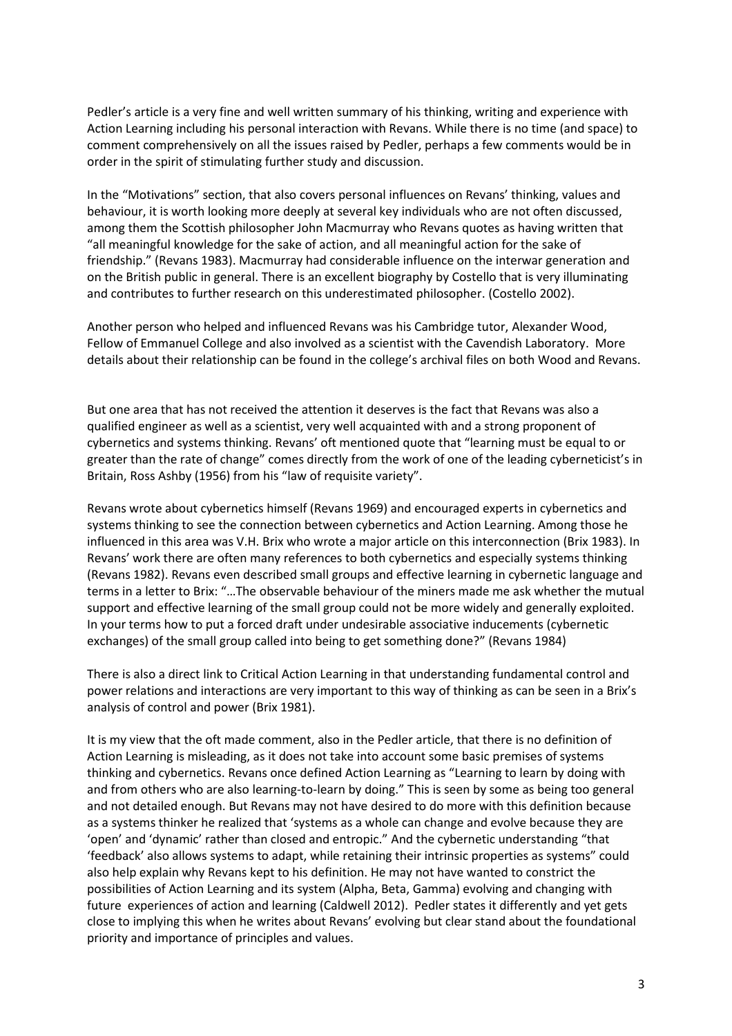Pedler's article is a very fine and well written summary of his thinking, writing and experience with Action Learning including his personal interaction with Revans. While there is no time (and space) to comment comprehensively on all the issues raised by Pedler, perhaps a few comments would be in order in the spirit of stimulating further study and discussion.

In the "Motivations" section, that also covers personal influences on Revans' thinking, values and behaviour, it is worth looking more deeply at several key individuals who are not often discussed, among them the Scottish philosopher John Macmurray who Revans quotes as having written that "all meaningful knowledge for the sake of action, and all meaningful action for the sake of friendship." (Revans 1983). Macmurray had considerable influence on the interwar generation and on the British public in general. There is an excellent biography by Costello that is very illuminating and contributes to further research on this underestimated philosopher. (Costello 2002).

Another person who helped and influenced Revans was his Cambridge tutor, Alexander Wood, Fellow of Emmanuel College and also involved as a scientist with the Cavendish Laboratory. More details about their relationship can be found in the college's archival files on both Wood and Revans.

But one area that has not received the attention it deserves is the fact that Revans was also a qualified engineer as well as a scientist, very well acquainted with and a strong proponent of cybernetics and systems thinking. Revans' oft mentioned quote that "learning must be equal to or greater than the rate of change" comes directly from the work of one of the leading cyberneticist's in Britain, Ross Ashby (1956) from his "law of requisite variety".

Revans wrote about cybernetics himself (Revans 1969) and encouraged experts in cybernetics and systems thinking to see the connection between cybernetics and Action Learning. Among those he influenced in this area was V.H. Brix who wrote a major article on this interconnection (Brix 1983). In Revans' work there are often many references to both cybernetics and especially systems thinking (Revans 1982). Revans even described small groups and effective learning in cybernetic language and terms in a letter to Brix: "…The observable behaviour of the miners made me ask whether the mutual support and effective learning of the small group could not be more widely and generally exploited. In your terms how to put a forced draft under undesirable associative inducements (cybernetic exchanges) of the small group called into being to get something done?" (Revans 1984)

There is also a direct link to Critical Action Learning in that understanding fundamental control and power relations and interactions are very important to this way of thinking as can be seen in a Brix's analysis of control and power (Brix 1981).

It is my view that the oft made comment, also in the Pedler article, that there is no definition of Action Learning is misleading, as it does not take into account some basic premises of systems thinking and cybernetics. Revans once defined Action Learning as "Learning to learn by doing with and from others who are also learning-to-learn by doing." This is seen by some as being too general and not detailed enough. But Revans may not have desired to do more with this definition because as a systems thinker he realized that 'systems as a whole can change and evolve because they are 'open' and 'dynamic' rather than closed and entropic." And the cybernetic understanding "that 'feedback' also allows systems to adapt, while retaining their intrinsic properties as systems" could also help explain why Revans kept to his definition. He may not have wanted to constrict the possibilities of Action Learning and its system (Alpha, Beta, Gamma) evolving and changing with future experiences of action and learning (Caldwell 2012). Pedler states it differently and yet gets close to implying this when he writes about Revans' evolving but clear stand about the foundational priority and importance of principles and values.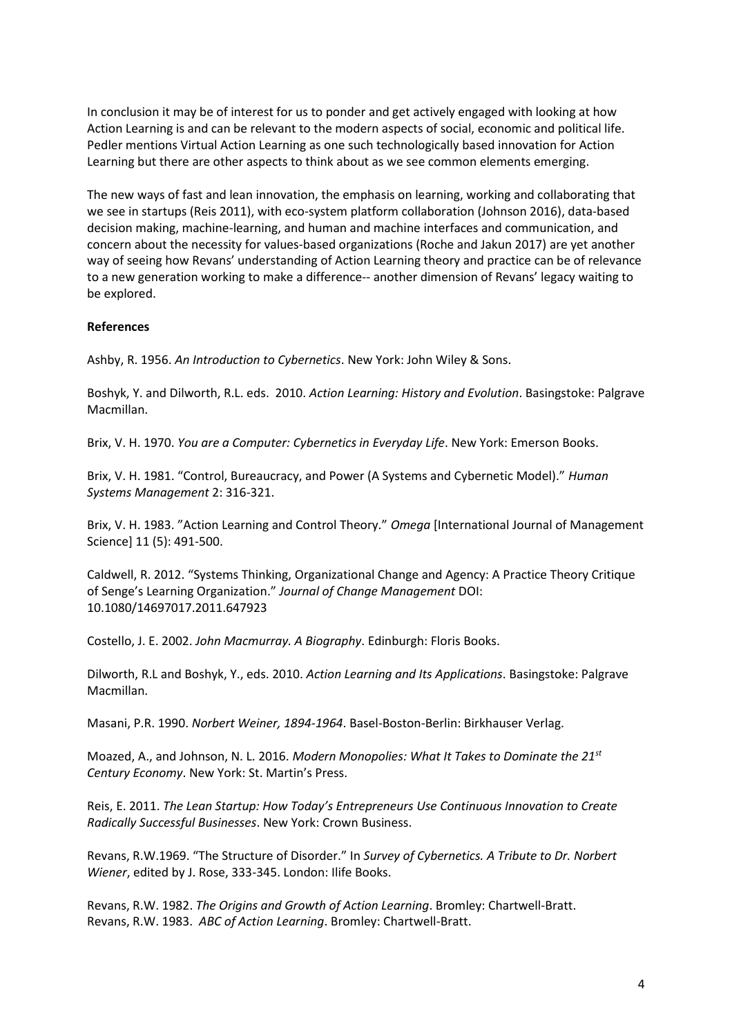In conclusion it may be of interest for us to ponder and get actively engaged with looking at how Action Learning is and can be relevant to the modern aspects of social, economic and political life. Pedler mentions Virtual Action Learning as one such technologically based innovation for Action Learning but there are other aspects to think about as we see common elements emerging.

The new ways of fast and lean innovation, the emphasis on learning, working and collaborating that we see in startups (Reis 2011), with eco-system platform collaboration (Johnson 2016), data-based decision making, machine-learning, and human and machine interfaces and communication, and concern about the necessity for values-based organizations (Roche and Jakun 2017) are yet another way of seeing how Revans' understanding of Action Learning theory and practice can be of relevance to a new generation working to make a difference-- another dimension of Revans' legacy waiting to be explored.

## **References**

Ashby, R. 1956. *An Introduction to Cybernetics*. New York: John Wiley & Sons.

Boshyk, Y. and Dilworth, R.L. eds. 2010. *Action Learning: History and Evolution*. Basingstoke: Palgrave Macmillan.

Brix, V. H. 1970. *You are a Computer: Cybernetics in Everyday Life*. New York: Emerson Books.

Brix, V. H. 1981. "Control, Bureaucracy, and Power (A Systems and Cybernetic Model)." *Human Systems Management* 2: 316-321.

Brix, V. H. 1983. "Action Learning and Control Theory." *Omega* [International Journal of Management Science] 11 (5): 491-500.

Caldwell, R. 2012. "Systems Thinking, Organizational Change and Agency: A Practice Theory Critique of Senge's Learning Organization." *Journal of Change Management* DOI: 10.1080/14697017.2011.647923

Costello, J. E. 2002. *John Macmurray. A Biography*. Edinburgh: Floris Books.

Dilworth, R.L and Boshyk, Y., eds. 2010. *Action Learning and Its Applications*. Basingstoke: Palgrave Macmillan.

Masani, P.R. 1990. *Norbert Weiner, 1894-1964*. Basel-Boston-Berlin: Birkhauser Verlag.

Moazed, A., and Johnson, N. L. 2016. *Modern Monopolies: What It Takes to Dominate the 21st Century Economy*. New York: St. Martin's Press.

Reis, E. 2011. *The Lean Startup: How Today's Entrepreneurs Use Continuous Innovation to Create Radically Successful Businesses*. New York: Crown Business.

Revans, R.W.1969. "The Structure of Disorder." In *Survey of Cybernetics. A Tribute to Dr. Norbert Wiener*, edited by J. Rose, 333-345. London: Ilife Books.

Revans, R.W. 1982. *The Origins and Growth of Action Learning*. Bromley: Chartwell-Bratt. Revans, R.W. 1983. *ABC of Action Learning*. Bromley: Chartwell-Bratt.